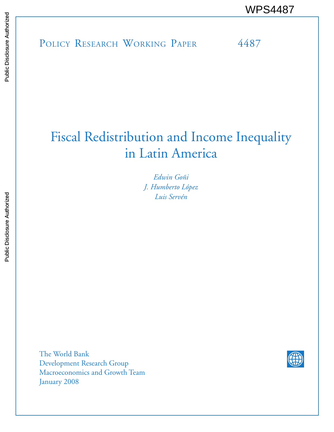POLICY RESEARCH WORKING PAPER 4487 WPS4487

# Fiscal Redistribution and Income Inequality in Latin America

*Edwin Goñi J. Humberto López Luis Servén*

The World Bank Development Research Group Macroeconomics and Growth Team January 2008

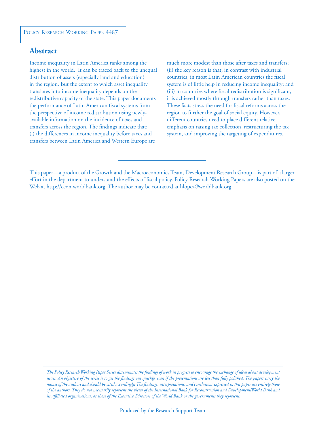### **Abstract**

Income inequality in Latin America ranks among the highest in the world. It can be traced back to the unequal distribution of assets (especially land and education) in the region. But the extent to which asset inequality translates into income inequality depends on the redistributive capacity of the state. This paper documents the performance of Latin American fiscal systems from the perspective of income redistribution using newlyavailable information on the incidence of taxes and transfers across the region. The findings indicate that: (i) the differences in income inequality before taxes and transfers between Latin America and Western Europe are

much more modest than those after taxes and transfers; (ii) the key reason is that, in contrast with industrial countries, in most Latin American countries the fiscal system is of little help in reducing income inequality; and (iii) in countries where fiscal redistribution is significant, it is achieved mostly through transfers rather than taxes. These facts stress the need for fiscal reforms across the region to further the goal of social equity. However, different countries need to place different relative emphasis on raising tax collection, restructuring the tax system, and improving the targeting of expenditures.

*The Policy Research Working Paper Series disseminates the findings of work in progress to encourage the exchange of ideas about development*  issues. An objective of the series is to get the findings out quickly, even if the presentations are less than fully polished. The papers carry the *names of the authors and should be cited accordingly. The findings, interpretations, and conclusions expressed in this paper are entirely those of the authors. They do not necessarily represent the views of the International Bank for Reconstruction and Development/World Bank and its affiliated organizations, or those of the Executive Directors of the World Bank or the governments they represent.*

This paper—a product of the Growth and the Macroeconomics Team, Development Research Group—is part of a larger effort in the department to understand the effects of fiscal policy. Policy Research Working Papers are also posted on the Web at http://econ.worldbank.org. The author may be contacted at hlopez@worldbank.org.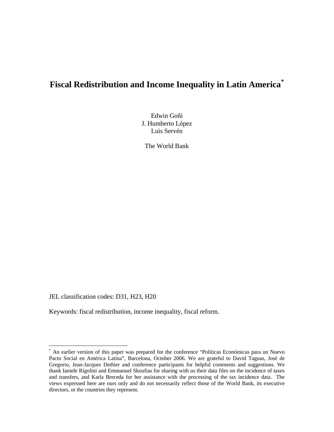## **Fiscal Redistribution and Income Inequality in Latin America[\\*](#page-2-0)**

Edwin Goñi J. Humberto López Luis Servén

The World Bank

JEL classification codes: D31, H23, H20

 $\overline{a}$ 

Keywords: fiscal redistribution, income inequality, fiscal reform.

<span id="page-2-0"></span><sup>\*</sup> An earlier version of this paper was prepared for the conference "Políticas Económicas para un Nuevo Pacto Social en América Latina", Barcelona, October 2006. We are grateful to David Taguas, José de Gregorio, Jean-Jacques Dethier and conference participants for helpful comments and suggestions. We thank Iamele Rigolini and Emmanuel Skoufias for sharing with us their data files on the incidence of taxes and transfers, and Karla Breceda for her assistance with the processing of the tax incidence data. The views expressed here are ours only and do not necessarily reflect those of the World Bank, its executive directors, or the countries they represent.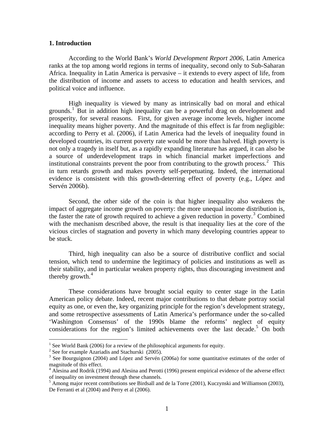#### **1. Introduction**

According to the World Bank's *World Development Report 2006,* Latin America ranks at the top among world regions in terms of inequality, second only to Sub-Saharan Africa. Inequality in Latin America is pervasive – it extends to every aspect of life, from the distribution of income and assets to access to education and health services, and political voice and influence.

High inequality is viewed by many as intrinsically bad on moral and ethical grounds.<sup>[1](#page-3-0)</sup> But in addition high inequality can be a powerful drag on development and prosperity, for several reasons. First, for given average income levels, higher income inequality means higher poverty. And the magnitude of this effect is far from negligible: according to Perry et al. (2006), if Latin America had the levels of inequality found in developed countries, its current poverty rate would be more than halved. High poverty is not only a tragedy in itself but, as a rapidly expanding literature has argued, it can also be a source of underdevelopment traps in which financial market imperfections and institutional constraints prevent the poor from contributing to the growth process.<sup>[2](#page-3-1)</sup> This in turn retards growth and makes poverty self-perpetuating. Indeed, the international evidence is consistent with this growth-deterring effect of poverty (e.g., López and Servén 2006b).

Second, the other side of the coin is that higher inequality also weakens the impact of aggregate income growth on poverty: the more unequal income distribution is, the faster the rate of growth required to achieve a given reduction in poverty.<sup>[3](#page-3-2)</sup> Combined with the mechanism described above, the result is that inequality lies at the core of the vicious circles of stagnation and poverty in which many developing countries appear to be stuck.

Third, high inequality can also be a source of distributive conflict and social tension, which tend to undermine the legitimacy of policies and institutions as well as their stability, and in particular weaken property rights, thus discouraging investment and thereby growth. $4$ 

These considerations have brought social equity to center stage in the Latin American policy debate. Indeed, recent major contributions to that debate portray social equity as one, or even the, key organizing principle for the region's development strategy, and some retrospective assessments of Latin America's performance under the so-called 'Washington Consensus' of the 1990s blame the reforms' neglect of equity considerations for the region's limited achievements over the last decade.<sup>[5](#page-3-4)</sup> On both

 $\overline{a}$ 

<span id="page-3-0"></span><sup>&</sup>lt;sup>1</sup> See World Bank (2006) for a review of the philosophical arguments for equity.

<span id="page-3-1"></span> $2^2$  See for example Azariadis and Stachurski (2005).

<span id="page-3-2"></span><sup>&</sup>lt;sup>3</sup> See Bourguignon (2004) and López and Servén (2006a) for some quantitative estimates of the order of magnitude of this effect.

<span id="page-3-3"></span><sup>&</sup>lt;sup>4</sup> Alesina and Rodrik (1994) and Alesina and Perotti (1996) present empirical evidence of the adverse effect of inequality on investment through these channels.

<span id="page-3-4"></span><sup>&</sup>lt;sup>5</sup> Among major recent contributions see Birdsall and de la Torre (2001), Kuczynski and Williamson (2003), De Ferranti et al (2004) and Perry et al (2006).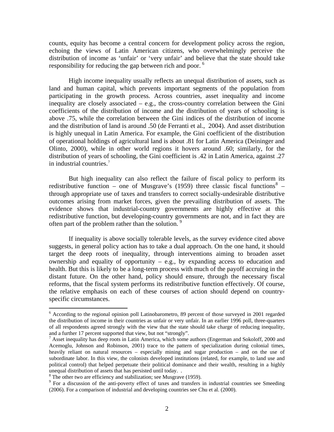counts, equity has become a central concern for development policy across the region, echoing the views of Latin American citizens, who overwhelmingly perceive the distribution of income as 'unfair' or 'very unfair' and believe that the state should take responsibility for reducing the gap between rich and poor.<sup>[6](#page-4-0)</sup>

High income inequality usually reflects an unequal distribution of assets, such as land and human capital, which prevents important segments of the population from participating in the growth process. Across countries, asset inequality and income inequality are closely associated – e.g., the cross-country correlation between the Gini coefficients of the distribution of income and the distribution of years of schooling is above .75, while the correlation between the Gini indices of the distribution of income and the distribution of land is around .50 (de Ferranti et al., 2004). And asset distribution is highly unequal in Latin America. For example, the Gini coefficient of the distribution of operational holdings of agricultural land is about .81 for Latin America (Deininger and Olinto, 2000), while in other world regions it hovers around .60; similarly, for the distribution of years of schooling, the Gini coefficient is .42 in Latin America, against .27 in industrial countries.[7](#page-4-1)

But high inequality can also reflect the failure of fiscal policy to perform its redistributive function – one of Musgrave's (1959) three classic fiscal functions<sup>[8](#page-4-2)</sup> – through appropriate use of taxes and transfers to correct socially-undesirable distributive outcomes arising from market forces, given the prevailing distribution of assets. The evidence shows that industrial-country governments are highly effective at this redistributive function, but developing-country governments are not, and in fact they are often part of the problem rather than the solution.  $9 \times 9$  $9 \times 9$ 

If inequality is above socially tolerable levels, as the survey evidence cited above suggests, in general policy action has to take a dual approach. On the one hand, it should target the deep roots of inequality, through interventions aiming to broaden asset ownership and equality of opportunity – e.g., by expanding access to education and health. But this is likely to be a long-term process with much of the payoff accruing in the distant future. On the other hand, policy should ensure, through the necessary fiscal reforms, that the fiscal system performs its redistributive function effectively. Of course, the relative emphasis on each of these courses of action should depend on countryspecific circumstances.

 6 According to the regional opinion poll Latinobarometro, 89 percent of those surveyed in 2001 regarded the distribution of income in their countries as unfair or very unfair. In an earlier 1996 poll, three-quarters of all respondents agreed strongly with the view that the state should take charge of reducing inequality, and a further 17 percent supported that view, but not "strongly".

<sup>&</sup>lt;sup>7</sup> Asset inequality has deep roots in Latin America, which some authors (Engerman and Sokoloff, 2000 and Acemoglu, Johnson and Robinson, 2001) trace to the pattern of specialization during colonial times, heavily reliant on natural resources – especially mining and sugar production – and on the use of subordinate labor. In this view, the colonists developed institutions (related, for example, to land use and political control) that helped perpetuate their political dominance and their wealth, resulting in a highly unequal distribution of assets that has persisted until today. .

<sup>&</sup>lt;sup>8</sup> The other two are efficiency and stabilization; see Musgrave (1959).

<span id="page-4-3"></span><span id="page-4-2"></span><span id="page-4-1"></span><span id="page-4-0"></span><sup>&</sup>lt;sup>9</sup> For a discussion of the anti-poverty effect of taxes and transfers in industrial countries see Smeeding (2006). For a comparison of industrial and developing countries see Chu et al. (2000).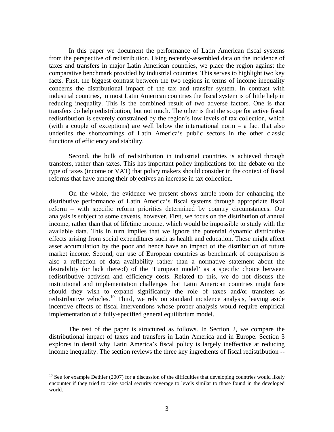In this paper we document the performance of Latin American fiscal systems from the perspective of redistribution. Using recently-assembled data on the incidence of taxes and transfers in major Latin American countries, we place the region against the comparative benchmark provided by industrial countries. This serves to highlight two key facts. First, the biggest contrast between the two regions in terms of income inequality concerns the distributional impact of the tax and transfer system. In contrast with industrial countries, in most Latin American countries the fiscal system is of little help in reducing inequality. This is the combined result of two adverse factors. One is that transfers do help redistribution, but not much. The other is that the scope for active fiscal redistribution is severely constrained by the region's low levels of tax collection, which (with a couple of exceptions) are well below the international norm – a fact that also underlies the shortcomings of Latin America's public sectors in the other classic functions of efficiency and stability.

Second, the bulk of redistribution in industrial countries is achieved through transfers, rather than taxes. This has important policy implications for the debate on the type of taxes (income or VAT) that policy makers should consider in the context of fiscal reforms that have among their objectives an increase in tax collection.

On the whole, the evidence we present shows ample room for enhancing the distributive performance of Latin America's fiscal systems through appropriate fiscal reform – with specific reform priorities determined by country circumstances. Our analysis is subject to some caveats, however. First, we focus on the distribution of annual income, rather than that of lifetime income, which would be impossible to study with the available data. This in turn implies that we ignore the potential dynamic distributive effects arising from social expenditures such as health and education. These might affect asset accumulation by the poor and hence have an impact of the distribution of future market income. Second, our use of European countries as benchmark of comparison is also a reflection of data availability rather than a normative statement about the desirability (or lack thereof) of the 'European model' as a specific choice between redistributive activism and efficiency costs. Related to this, we do not discuss the institutional and implementation challenges that Latin American countries might face should they wish to expand significantly the role of taxes and/or transfers as redistributive vehicles.<sup>[10](#page-5-0)</sup> Third, we rely on standard incidence analysis, leaving aside incentive effects of fiscal interventions whose proper analysis would require empirical implementation of a fully-specified general equilibrium model.

The rest of the paper is structured as follows. In Section 2, we compare the distributional impact of taxes and transfers in Latin America and in Europe. Section 3 explores in detail why Latin America's fiscal policy is largely ineffective at reducing income inequality. The section reviews the three key ingredients of fiscal redistribution --

 $\overline{a}$ 

<span id="page-5-0"></span> $10$  See for example Dethier (2007) for a discussion of the difficulties that developing countries would likely encounter if they tried to raise social security coverage to levels similar to those found in the developed world.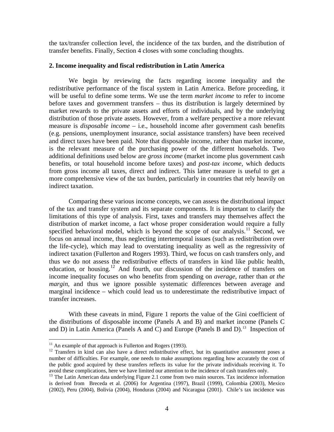<span id="page-6-0"></span>the tax/transfer collection level, the incidence of the tax burden, and the distribution of transfer benefits. Finally, Section 4 closes with some concluding thoughts.

#### **2. Income inequality and fiscal redistribution in Latin America**

We begin by reviewing the facts regarding income inequality and the redistributive performance of the fiscal system in Latin America. Before proceeding, it will be useful to define some terms. We use the term *market income* to refer to income before taxes and government transfers – thus its distribution is largely determined by market rewards to the private assets and efforts of individuals, and by the underlying distribution of those private assets. However, from a welfare perspective a more relevant measure is *disposable income* – i.e., household income after government cash benefits (e.g. pensions, unemployment insurance, social assistance transfers) have been received and direct taxes have been paid. Note that disposable income, rather than market income, is the relevant measure of the purchasing power of the different households. Two additional definitions used below are *gross income* (market income plus government cash benefits, or total household income before taxes) and *post-tax income,* which deducts from gross income all taxes, direct and indirect. This latter measure is useful to get a more comprehensive view of the tax burden, particularly in countries that rely heavily on indirect taxation.

Comparing these various income concepts, we can assess the distributional impact of the tax and transfer system and its separate components. It is important to clarify the limitations of this type of analysis. First, taxes and transfers may themselves affect the distribution of market income, a fact whose proper consideration would require a fully specified behavioral model, which is beyond the scope of our analysis.<sup>[11](#page-6-0)</sup> Second, we focus on annual income, thus neglecting intertemporal issues (such as redistribution over the life-cycle), which may lead to overstating inequality as well as the regressivity of indirect taxation (Fullerton and Rogers 1993). Third, we focus on cash transfers only, and thus we do not assess the redistributive effects of transfers in kind like public health, education, or housing.[12](#page-6-0) And fourth, our discussion of the incidence of transfers on income inequality focuses on who benefits from spending on *average*, rather than *at the margin,* and thus we ignore possible systematic differences between average and marginal incidence – which could lead us to underestimate the redistributive impact of transfer increases.

With these caveats in mind, Figure 1 reports the value of the Gini coefficient of the distributions of disposable income (Panels A and B) and market income (Panels C and D) in Latin America (Panels A and C) and Europe (Panels B and D).<sup>[13](#page-6-0)</sup> Inspection of

 $\overline{a}$ 

 $11$  An example of that approach is Fullerton and Rogers (1993).

<sup>&</sup>lt;sup>12</sup> Transfers in kind can also have a direct redistributive effect, but its quantitative assessment poses a number of difficulties. For example, one needs to make assumptions regarding how accurately the cost of the public good acquired by these transfers reflects its value for the private individuals receiving it. To avoid these complications, here we have limited our attention to the incidence of cash transfers only.

<sup>&</sup>lt;sup>13</sup> The Latin American data underlying Figure 2.1 come from two main sources. Tax incidence information is derived from Breceda et al. (2006) for Argentina (1997), Brazil (1999), Colombia (2003), Mexico (2002), Peru (2004), Bolivia (2004), Honduras (2004) and Nicaragua (2001). Chile's tax incidence was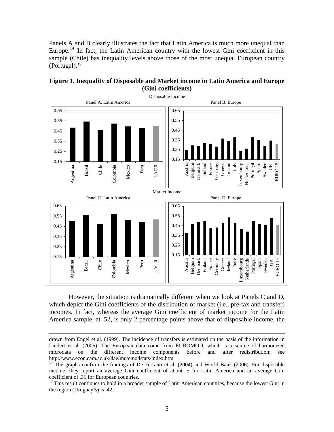<span id="page-7-0"></span>Panels A and B clearly illustrates the fact that Latin America is much more unequal than Europe.<sup>[14](#page-7-0)</sup> In fact, the Latin American country with the lowest Gini coefficient in this sample (Chile) has inequality levels above those of the most unequal European country  $(Portugal).<sup>15</sup>$  $(Portugal).<sup>15</sup>$  $(Portugal).<sup>15</sup>$ 





However, the situation is dramatically different when we look at Panels C and D, which depict the Gini coefficients of the distribution of market (i.e., pre-tax and transfer) incomes. In fact, whereas the average Gini coefficient of market income for the Latin America sample, at .52, is only 2 percentage points above that of disposable income, the

drawn from Engel et al. (1999). The incidence of transfers is estimated on the basis of the information in Lindert et al. (2006). The European data come from EUROMOD, which is a source of harmonized microdata on the different income components before and after redistribution; see http://www.econ.cam.ac.uk/dae/mu/emodstats/index.htm

 $14$  The graphs confirm the findings of De Ferranti et al. (2004) and World Bank (2006). For disposable income, they report an average Gini coefficient of about .5 for Latin America and an average Gini coefficient of .31 for European countries. 15 This result continues to hold in a broader sample of Latin American countries, because the lowest Gini in

the region (Uruguay's) is .42.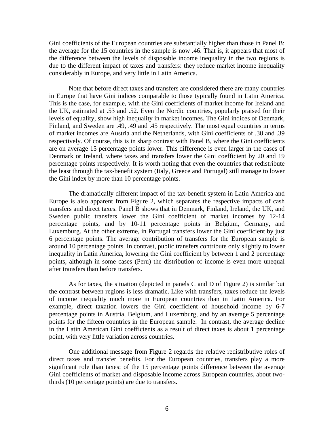Gini coefficients of the European countries are substantially higher than those in Panel B: the average for the 15 countries in the sample is now .46. That is, it appears that most of the difference between the levels of disposable income inequality in the two regions is due to the different impact of taxes and transfers: they reduce market income inequality considerably in Europe, and very little in Latin America.

Note that before direct taxes and transfers are considered there are many countries in Europe that have Gini indices comparable to those typically found in Latin America. This is the case, for example, with the Gini coefficients of market income for Ireland and the UK, estimated at .53 and .52. Even the Nordic countries, popularly praised for their levels of equality, show high inequality in market incomes. The Gini indices of Denmark, Finland, and Sweden are .49, .49 and .45 respectively. The most equal countries in terms of market incomes are Austria and the Netherlands, with Gini coefficients of .38 and .39 respectively. Of course, this is in sharp contrast with Panel B, where the Gini coefficients are on average 15 percentage points lower. This difference is even larger in the cases of Denmark or Ireland, where taxes and transfers lower the Gini coefficient by 20 and 19 percentage points respectively. It is worth noting that even the countries that redistribute the least through the tax-benefit system (Italy, Greece and Portugal) still manage to lower the Gini index by more than 10 percentage points.

The dramatically different impact of the tax-benefit system in Latin America and Europe is also apparent from Figure 2, which separates the respective impacts of cash transfers and direct taxes. Panel B shows that in Denmark, Finland, Ireland, the UK, and Sweden public transfers lower the Gini coefficient of market incomes by 12-14 percentage points, and by 10-11 percentage points in Belgium, Germany, and Luxemburg. At the other extreme, in Portugal transfers lower the Gini coefficient by just 6 percentage points. The average contribution of transfers for the European sample is around 10 percentage points. In contrast, public transfers contribute only slightly to lower inequality in Latin America, lowering the Gini coefficient by between 1 and 2 percentage points, although in some cases (Peru) the distribution of income is even more unequal after transfers than before transfers.

As for taxes, the situation (depicted in panels C and D of Figure 2) is similar but the contrast between regions is less dramatic. Like with transfers, taxes reduce the levels of income inequality much more in European countries than in Latin America. For example, direct taxation lowers the Gini coefficient of household income by 6-7 percentage points in Austria, Belgium, and Luxemburg, and by an average 5 percentage points for the fifteen countries in the European sample. In contrast, the average decline in the Latin American Gini coefficients as a result of direct taxes is about 1 percentage point, with very little variation across countries.

One additional message from Figure 2 regards the relative redistributive roles of direct taxes and transfer benefits. For the European countries, transfers play a more significant role than taxes: of the 15 percentage points difference between the average Gini coefficients of market and disposable income across European countries, about twothirds (10 percentage points) are due to transfers.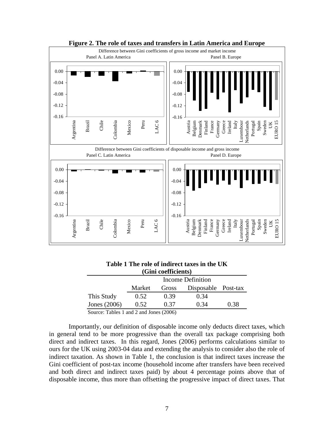

#### **Figure 2. The role of taxes and transfers in Latin America and Europe**

| Table T The Tole of multect taxes in the U <b>I</b> N |        |                     |                     |      |  |  |
|-------------------------------------------------------|--------|---------------------|---------------------|------|--|--|
|                                                       |        | (Gini coefficients) |                     |      |  |  |
|                                                       |        |                     | Income Definition   |      |  |  |
|                                                       | Market | Gross               | Disposable Post-tax |      |  |  |
| This Study                                            | 0.52   | 0.39                | 0.34                |      |  |  |
| Jones (2006)                                          | 0.52   | 0.37                | 0.34                | 0.38 |  |  |

**Table 1 The role of indirect taxes in the UK** 

Source: Tables 1 and 2 and Jones (2006)

Importantly, our definition of disposable income only deducts direct taxes, which in general tend to be more progressive than the overall tax package comprising both direct and indirect taxes. In this regard, Jones (2006) performs calculations similar to ours for the UK using 2003-04 data and extending the analysis to consider also the role of indirect taxation. As shown in Table 1, the conclusion is that indirect taxes increase the Gini coefficient of post-tax income (household income after transfers have been received and both direct and indirect taxes paid) by about 4 percentage points above that of disposable income, thus more than offsetting the progressive impact of direct taxes. That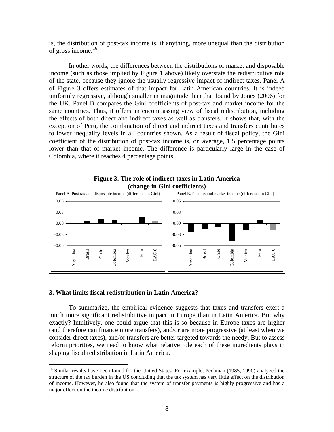<span id="page-10-0"></span>is, the distribution of post-tax income is, if anything, more unequal than the distribution of gross income. $16$ 

In other words, the differences between the distributions of market and disposable income (such as those implied by Figure 1 above) likely overstate the redistributive role of the state, because they ignore the usually regressive impact of indirect taxes. Panel A of Figure 3 offers estimates of that impact for Latin American countries. It is indeed uniformly regressive, although smaller in magnitude than that found by Jones (2006) for the UK. Panel B compares the Gini coefficients of post-tax and market income for the same countries. Thus, it offers an encompassing view of fiscal redistribution, including the effects of both direct and indirect taxes as well as transfers. It shows that, with the exception of Peru, the combination of direct and indirect taxes and transfers contributes to lower inequality levels in all countries shown. As a result of fiscal policy, the Gini coefficient of the distribution of post-tax income is, on average, 1.5 percentage points lower than that of market income. The difference is particularly large in the case of Colombia, where it reaches 4 percentage points.



**Figure 3. The role of indirect taxes in Latin America (change in Gini coefficients)** 

#### **3. What limits fiscal redistribution in Latin America?**

 $\overline{a}$ 

To summarize, the empirical evidence suggests that taxes and transfers exert a much more significant redistributive impact in Europe than in Latin America. But why exactly? Intuitively, one could argue that this is so because in Europe taxes are higher (and therefore can finance more transfers), and/or are more progressive (at least when we consider direct taxes), and/or transfers are better targeted towards the needy. But to assess reform priorities, we need to know what relative role each of these ingredients plays in shaping fiscal redistribution in Latin America.

<sup>&</sup>lt;sup>16</sup> Similar results have been found for the United States. For example, Pechman (1985, 1990) analyzed the structure of the tax burden in the US concluding that the tax system has very little effect on the distribution of income. However, he also found that the system of transfer payments is highly progressive and has a major effect on the income distribution.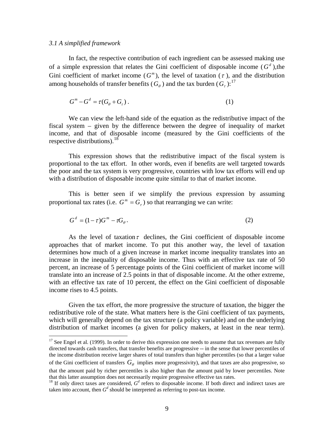#### <span id="page-11-0"></span>*3.1 A simplified framework*

In fact, the respective contribution of each ingredient can be assessed making use of a simple expression that relates the Gini coefficient of disposable income  $(G^d)$ , the Gini coefficient of market income  $(G^m)$ , the level of taxation  $(\tau)$ , and the distribution among households of transfer benefits ( $G_{\theta}$ ) and the tax burden ( $G_{\tau}$ ):<sup>[17](#page-11-0)</sup>

$$
G^m - G^d = \tau(G_\theta + G_\tau). \tag{1}
$$

We can view the left-hand side of the equation as the redistributive impact of the fiscal system – given by the difference between the degree of inequality of market income, and that of disposable income (measured by the Gini coefficients of the respective distributions).  $18$ 

This expression shows that the redistributive impact of the fiscal system is proportional to the tax effort. In other words, even if benefits are well targeted towards the poor and the tax system is very progressive, countries with low tax efforts will end up with a distribution of disposable income quite similar to that of market income.

This is better seen if we simplify the previous expression by assuming proportional tax rates (i.e.  $G^m = G_\tau$ ) so that rearranging we can write:

$$
G^d = (1 - \tau)G^m - \tau G_\theta.
$$
\n<sup>(2)</sup>

As the level of taxation  $\tau$  declines, the Gini coefficient of disposable income approaches that of market income. To put this another way, the level of taxation determines how much of a given increase in market income inequality translates into an increase in the inequality of disposable income. Thus with an effective tax rate of 50 percent, an increase of 5 percentage points of the Gini coefficient of market income will translate into an increase of 2.5 points in that of disposable income. At the other extreme, with an effective tax rate of 10 percent, the effect on the Gini coefficient of disposable income rises to 4.5 points.

Given the tax effort, the more progressive the structure of taxation, the bigger the redistributive role of the state. What matters here is the Gini coefficient of tax payments, which will generally depend on the tax structure (a policy variable) and on the underlying distribution of market incomes (a given for policy makers, at least in the near term).

of the Gini coefficient of transfers  $G_{\theta}$  implies more progressivity), and that taxes are also progressive, so  $17$  See Engel et al. (1999). In order to derive this expression one needs to assume that tax revenues are fully directed towards cash transfers, that transfer benefits are progressive -- in the sense that lower percentiles of the income distribution receive larger shares of total transfers than higher percentiles (so that a larger value

that the amount paid by richer percentiles is also higher than the amount paid by lower percentiles. Note that this latter assumption does not necessarily require progressive effective tax rates. that this latter assumption does not necessarily require progressive effective tax rates.<br><sup>18</sup> If only direct taxes are considered,  $G^d$  refers to disposable income. If both direct and indirect taxes are

taken into account, then  $G^d$  should be interpreted as referring to post-tax income.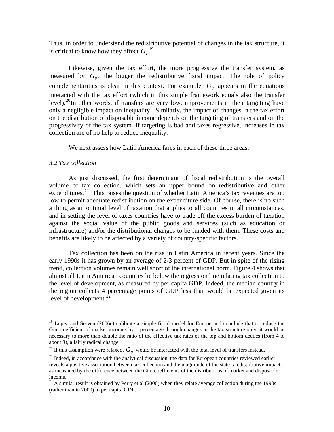<span id="page-12-0"></span>Thus, in order to understand the redistributive potential of changes in the tax structure, it iscritical to know how they affect  $G<sub>r</sub>$ <sup>19</sup>

Likewise, given the tax effort, the more progressive the transfer system, as measured by  $G_{\theta}$ , the bigger the redistributive fiscal impact. The role of policy complementarities is clear in this context. For example,  $G_{\theta}$  appears in the equations interacted with the tax effort (which in this simple framework equals also the transfer level).<sup>[20](#page-12-0)</sup>In other words, if transfers are very low, improvements in their targeting have only a negligible impact on inequality. Similarly, the impact of changes in the tax effort on the distribution of disposable income depends on the targeting of transfers and on the progressivity of the tax system. If targeting is bad and taxes regressive, increases in tax collection are of no help to reduce inequality.

We next assess how Latin America fares in each of these three areas.

#### *3.2 Tax collection*

 $\overline{a}$ 

As just discussed, the first determinant of fiscal redistribution is the overall volume of tax collection, which sets an upper bound on redistributive and other expenditures.<sup>[21](#page-12-0)</sup> This raises the question of whether Latin America's tax revenues are too low to permit adequate redistribution on the expenditure side. Of course, there is no such a thing as an optimal level of taxation that applies to all countries in all circumstances, and in setting the level of taxes countries have to trade off the excess burden of taxation against the social value of the public goods and services (such as education or infrastructure) and/or the distributional changes to be funded with them. These costs and benefits are likely to be affected by a variety of country-specific factors.

Tax collection has been on the rise in Latin America in recent years. Since the early 1990s it has grown by an average of 2-3 percent of GDP. But in spite of the rising trend, collection volumes remain well short of the international norm. Figure 4 shows that almost all Latin American countries lie below the regression line relating tax collection to the level of development, as measured by per capita GDP. Indeed, the median country in the region collects 4 percentage points of GDP less than would be expected given its level of development. $^{22}$  $^{22}$  $^{22}$ 

<sup>&</sup>lt;sup>19</sup> Lopez and Serven (2006c) calibrate a simple fiscal model for Europe and conclude that to reduce the Gini coefficient of market incomes by 1 percentage through changes in the tax structure only, it would be necessary to more than double the ratio of the effective tax rates of the top and bottom deciles (from 4 to about 9), a fairly radical change.

<sup>&</sup>lt;sup>20</sup> If this assumption were relaxed,  $G_{\theta}$  would be interacted with the total level of transfers instead.

 $21$  Indeed, in accordance with the analytical discussion, the data for European countries reviewed earlier reveals a positive association between tax collection and the magnitude of the state's redistributive impact, as measured by the difference between the Gini coefficients of the distributions of market and disposable income.

 $22$  A similar result is obtained by Perry et al (2006) when they relate average collection during the 1990s (rather than in 2000) to per capita GDP.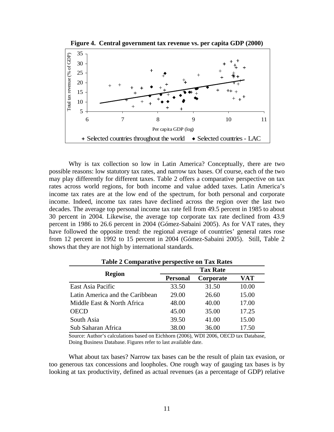

**Figure 4. Central government tax revenue vs. per capita GDP (2000)** 

Why is tax collection so low in Latin America? Conceptually, there are two possible reasons: low statutory tax rates, and narrow tax bases. Of course, each of the two may play differently for different taxes. Table 2 offers a comparative perspective on tax rates across world regions, for both income and value added taxes. Latin America's income tax rates are at the low end of the spectrum, for both personal and corporate income. Indeed, income tax rates have declined across the region over the last two decades. The average top personal income tax rate fell from 49.5 percent in 1985 to about 30 percent in 2004. Likewise, the average top corporate tax rate declined from 43.9 percent in 1986 to 26.6 percent in 2004 (Gómez-Sabaini 2005). As for VAT rates, they have followed the opposite trend: the regional average of countries' general rates rose from 12 percent in 1992 to 15 percent in 2004 (Gómez-Sabaini 2005). Still, Table 2 shows that they are not high by international standards.

| $1000 \pm 0000$                 |                 |           |       |  |  |
|---------------------------------|-----------------|-----------|-------|--|--|
|                                 | <b>Tax Rate</b> |           |       |  |  |
| <b>Region</b>                   | <b>Personal</b> | Corporate | VAT   |  |  |
| East Asia Pacific               | 33.50           | 31.50     | 10.00 |  |  |
| Latin America and the Caribbean | 29.00           | 26.60     | 15.00 |  |  |
| Middle East & North Africa      | 48.00           | 40.00     | 17.00 |  |  |
| <b>OECD</b>                     | 45.00           | 35.00     | 17.25 |  |  |
| South Asia                      | 39.50           | 41.00     | 15.00 |  |  |
| Sub Saharan Africa              | 38.00           | 36.00     | 17.50 |  |  |

**Table 2 Comparative perspective on Tax Rates** 

Source: Author's calculations based on Eichhorn (2006), WDI 2006, OECD tax Database, Doing Business Database. Figures refer to last available date.

What about tax bases? Narrow tax bases can be the result of plain tax evasion, or too generous tax concessions and loopholes. One rough way of gauging tax bases is by looking at tax productivity, defined as actual revenues (as a percentage of GDP) relative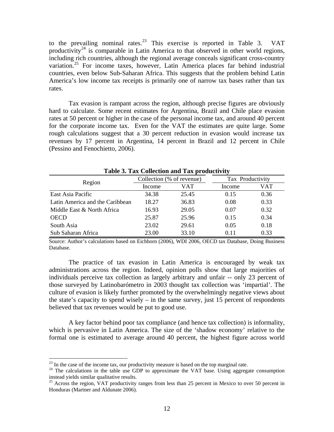<span id="page-14-0"></span>to the prevailing nominal rates.<sup>[23](#page-14-0)</sup> This exercise is reported in Table 3. VAT productivity<sup>[24](#page-14-0)</sup> is comparable in Latin America to that observed in other world regions, including rich countries, although the regional average conceals significant cross-country variation.<sup>[25](#page-14-0)</sup> For income taxes, however, Latin America places far behind industrial countries, even below Sub-Saharan Africa. This suggests that the problem behind Latin America's low income tax receipts is primarily one of narrow tax bases rather than tax rates.

Tax evasion is rampant across the region, although precise figures are obviously hard to calculate. Some recent estimates for Argentina, Brazil and Chile place evasion rates at 50 percent or higher in the case of the personal income tax, and around 40 percent for the corporate income tax. Even for the VAT the estimates are quite large. Some rough calculations suggest that a 30 percent reduction in evasion would increase tax revenues by 17 percent in Argentina, 14 percent in Brazil and 12 percent in Chile (Pessino and Fenochietto, 2006).

|                                 | Tuble of Tun Concentrum and Tun productivity<br>Collection (% of revenue)<br>Tax Productivity<br>VAT<br>VAT<br>Income<br>Income |       |      |      |
|---------------------------------|---------------------------------------------------------------------------------------------------------------------------------|-------|------|------|
|                                 |                                                                                                                                 |       |      |      |
| Region                          |                                                                                                                                 |       |      |      |
| East Asia Pacific               | 34.38                                                                                                                           | 25.45 | 0.15 | 0.36 |
| Latin America and the Caribbean | 18.27                                                                                                                           | 36.83 | 0.08 | 0.33 |
| Middle East & North Africa      | 16.93                                                                                                                           | 29.05 | 0.07 | 0.32 |
| <b>OECD</b>                     | 25.87                                                                                                                           | 25.96 | 0.15 | 0.34 |
| South Asia                      | 23.02                                                                                                                           | 29.61 | 0.05 | 0.18 |
| Sub Saharan Africa              | 23.00                                                                                                                           | 33.10 | 0.11 | 0.33 |

**Table 3. Tax Collection and Tax productivity** 

Source: Author's calculations based on Eichhorn (2006), WDI 2006, OECD tax Database, Doing Business Database.

The practice of tax evasion in Latin America is encouraged by weak tax administrations across the region. Indeed, opinion polls show that large majorities of individuals perceive tax collection as largely arbitrary and unfair -- only 23 percent of those surveyed by Latinobarómetro in 2003 thought tax collection was 'impartial'. The culture of evasion is likely further promoted by the overwhelmingly negative views about the state's capacity to spend wisely  $-$  in the same survey, just 15 percent of respondents believed that tax revenues would be put to good use.

A key factor behind poor tax compliance (and hence tax collection) is informality, which is pervasive in Latin America. The size of the 'shadow economy' relative to the formal one is estimated to average around 40 percent, the highest figure across world

1

 $^{23}$  In the case of the income tax, our productivity measure is based on the top marginal rate.

<sup>&</sup>lt;sup>24</sup> The calculations in the table use GDP to approximate the VAT base. Using aggregate consumption instead yields similar qualitative results.

 $25$  Across the region, VAT productivity ranges from less than 25 percent in Mexico to over 50 percent in Honduras (Martner and Aldunate 2006).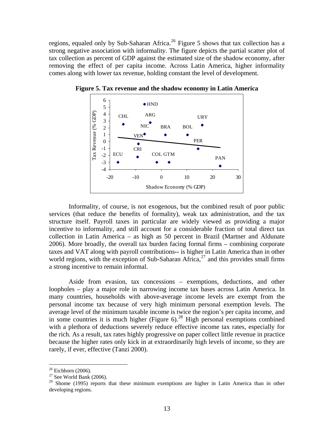<span id="page-15-0"></span>regions, equaled only by Sub-Saharan Africa.<sup>[26](#page-15-0)</sup> Figure 5 shows that tax collection has a strong negative association with informality. The figure depicts the partial scatter plot of tax collection as percent of GDP against the estimated size of the shadow economy, after removing the effect of per capita income. Across Latin America, higher informality comes along with lower tax revenue, holding constant the level of development.



**Figure 5. Tax revenue and the shadow economy in Latin America** 

Informality, of course, is not exogenous, but the combined result of poor public services (that reduce the benefits of formality), weak tax administration, and the tax structure itself. Payroll taxes in particular are widely viewed as providing a major incentive to informality, and still account for a considerable fraction of total direct tax collection in Latin America – as high as 50 percent in Brazil (Martner and Aldunate 2006). More broadly, the overall tax burden facing formal firms – combining corporate taxes and VAT along with payroll contributions**--** is higher in Latin America than in other world regions, with the exception of Sub-Saharan Africa, $27$  and this provides small firms a strong incentive to remain informal.

Aside from evasion, tax concessions – exemptions, deductions, and other loopholes – play a major role in narrowing income tax bases across Latin America. In many countries, households with above-average income levels are exempt from the personal income tax because of very high minimum personal exemption levels. The average level of the minimum taxable income is twice the region's per capita income, and in some countries it is much higher (Figure  $6$ ).<sup>[28](#page-15-0)</sup> High personal exemptions combined with a plethora of deductions severely reduce effective income tax rates, especially for the rich. As a result, tax rates highly progressive on paper collect little revenue in practice because the higher rates only kick in at extraordinarily high levels of income, so they are rarely, if ever, effective (Tanzi 2000).

 $\overline{a}$ 

 $26$  Eichhorn (2006).

 $27$  See World Bank (2006).

<sup>&</sup>lt;sup>28</sup> Shome (1995) reports that these minimum exemptions are higher in Latin America than in other developing regions.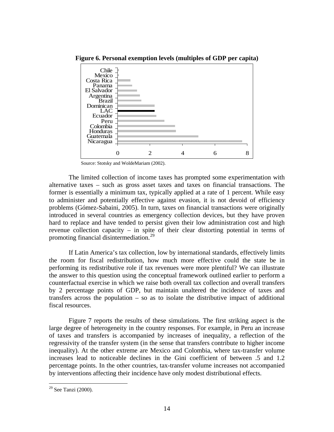

<span id="page-16-0"></span>**Figure 6. Personal exemption levels (multiples of GDP per capita)** 

Source: Stotsky and WoldeMariam (2002).

The limited collection of income taxes has prompted some experimentation with alternative taxes – such as gross asset taxes and taxes on financial transactions. The former is essentially a minimum tax, typically applied at a rate of 1 percent. While easy to administer and potentially effective against evasion, it is not devoid of efficiency problems (Gómez-Sabaini, 2005). In turn, taxes on financial transactions were originally introduced in several countries as emergency collection devices, but they have proven hard to replace and have tended to persist given their low administration cost and high revenue collection capacity – in spite of their clear distorting potential in terms of promoting financial disintermediation.<sup>[29](#page-16-0)</sup>

If Latin America's tax collection, low by international standards, effectively limits the room for fiscal redistribution, how much more effective could the state be in performing its redistributive role if tax revenues were more plentiful? We can illustrate the answer to this question using the conceptual framework outlined earlier to perform a counterfactual exercise in which we raise both overall tax collection and overall transfers by 2 percentage points of GDP, but maintain unaltered the incidence of taxes and transfers across the population – so as to isolate the distributive impact of additional fiscal resources.

Figure 7 reports the results of these simulations. The first striking aspect is the large degree of heterogeneity in the country responses. For example, in Peru an increase of taxes and transfers is accompanied by increases of inequality, a reflection of the regressivity of the transfer system (in the sense that transfers contribute to higher income inequality). At the other extreme are Mexico and Colombia, where tax-transfer volume increases lead to noticeable declines in the Gini coefficient of between .5 and 1.2 percentage points. In the other countries, tax-transfer volume increases not accompanied by interventions affecting their incidence have only modest distributional effects.

<u>.</u>

<sup>29</sup> See Tanzi (2000).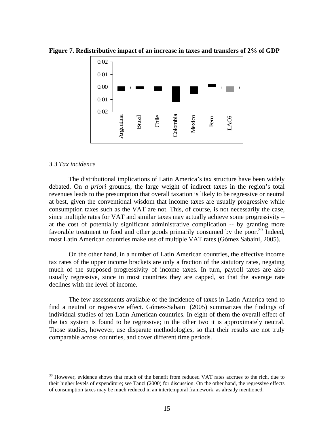

<span id="page-17-0"></span>**Figure 7. Redistributive impact of an increase in taxes and transfers of 2% of GDP** 

#### *3.3 Tax incidence*

 $\overline{a}$ 

The distributional implications of Latin America's tax structure have been widely debated. On *a priori* grounds, the large weight of indirect taxes in the region's total revenues leads to the presumption that overall taxation is likely to be regressive or neutral at best, given the conventional wisdom that income taxes are usually progressive while consumption taxes such as the VAT are not. This, of course, is not necessarily the case, since multiple rates for VAT and similar taxes may actually achieve some progressivity – at the cost of potentially significant administrative complication -- by granting more favorable treatment to food and other goods primarily consumed by the poor.<sup>[30](#page-17-0)</sup> Indeed, most Latin American countries make use of multiple VAT rates (Gómez Sabaini, 2005).

On the other hand, in a number of Latin American countries, the effective income tax rates of the upper income brackets are only a fraction of the statutory rates, negating much of the supposed progressivity of income taxes. In turn, payroll taxes are also usually regressive, since in most countries they are capped, so that the average rate declines with the level of income.

The few assessments available of the incidence of taxes in Latin America tend to find a neutral or regressive effect. Gómez-Sabaini (2005) summarizes the findings of individual studies of ten Latin American countries. In eight of them the overall effect of the tax system is found to be regressive; in the other two it is approximately neutral. Those studies, however, use disparate methodologies, so that their results are not truly comparable across countries, and cover different time periods.

<sup>&</sup>lt;sup>30</sup> However, evidence shows that much of the benefit from reduced VAT rates accrues to the rich, due to their higher levels of expenditure; see Tanzi (2000) for discussion. On the other hand, the regressive effects of consumption taxes may be much reduced in an intertemporal framework, as already mentioned.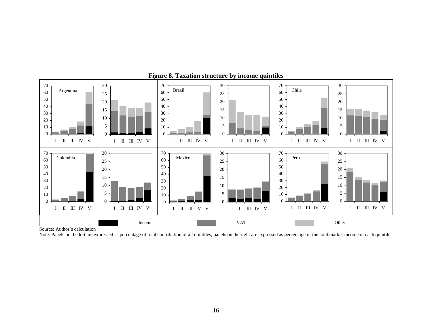

#### **Figure 8. Taxation structure by income quintiles**

Source: Author's calculation

Note: Panels on the left are expressed as percentage of total contribution of all quintiles; panels on the right are expressed as percentage of the total market income of each quintile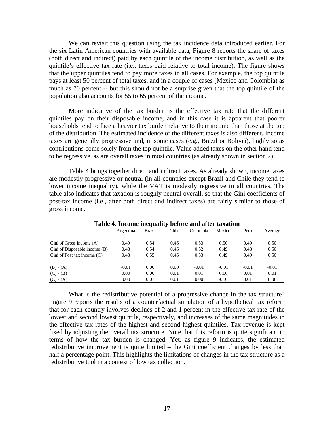We can revisit this question using the tax incidence data introduced earlier. For the six Latin American countries with available data, Figure 8 reports the share of taxes (both direct and indirect) paid by each quintile of the income distribution, as well as the quintile's effective tax rate (i.e., taxes paid relative to total income). The figure shows that the upper quintiles tend to pay more taxes in all cases. For example, the top quintile pays at least 50 percent of total taxes, and in a couple of cases (Mexico and Colombia) as much as 70 percent -- but this should not be a surprise given that the top quintile of the population also accounts for 55 to 65 percent of the income.

More indicative of the tax burden is the effective tax rate that the different quintiles pay on their disposable income, and in this case it is apparent that poorer households tend to face a heavier tax burden relative to their income than those at the top of the distribution. The estimated incidence of the different taxes is also different. Income taxes are generally progressive and, in some cases (e.g., Brazil or Bolivia), highly so as contributions come solely from the top quintile. Value added taxes on the other hand tend to be regressive, as are overall taxes in most countries (as already shown in section 2).

Table 4 brings together direct and indirect taxes. As already shown, income taxes are modestly progressive or neutral (in all countries except Brazil and Chile they tend to lower income inequality), while the VAT is modestly regressive in all countries. The table also indicates that taxation is roughly neutral overall, so that the Gini coefficients of post-tax income (i.e., after both direct and indirect taxes) are fairly similar to those of gross income.

| Table 4. Income inequality before and after taxation |           |        |       |          |         |         |         |
|------------------------------------------------------|-----------|--------|-------|----------|---------|---------|---------|
|                                                      | Argentina | Brazil | Chile | Colombia | Mexico  | Peru    | Average |
|                                                      |           |        |       |          |         |         |         |
| Gini of Gross income (A)                             | 0.49      | 0.54   | 0.46  | 0.53     | 0.50    | 0.49    | 0.50    |
| Gini of Disposable income (B)                        | 0.48      | 0.54   | 0.46  | 0.52     | 0.49    | 0.48    | 0.50    |
| Gini of Post tax income (C)                          | 0.48      | 0.55   | 0.46  | 0.53     | 0.49    | 0.49    | 0.50    |
|                                                      |           |        |       |          |         |         |         |
| $(B) - (A)$                                          | $-0.01$   | 0.00   | 0.00  | $-0.01$  | $-0.01$ | $-0.01$ | $-0.01$ |
| $(C) - (B)$                                          | 0.00      | 0.00   | 0.01  | 0.01     | 0.00    | 0.01    | 0.01    |
| $(C) - (A)$                                          | 0.00      | 0.01   | 0.01  | 0.00     | $-0.01$ | 0.01    | 0.00    |

**Table 4. Income inequality before and after taxation** 

What is the redistributive potential of a progressive change in the tax structure? Figure 9 reports the results of a counterfactual simulation of a hypothetical tax reform that for each country involves declines of 2 and 1 percent in the effective tax rate of the lowest and second lowest quintile, respectively, and increases of the same magnitudes in the effective tax rates of the highest and second highest quintiles. Tax revenue is kept fixed by adjusting the overall tax structure. Note that this reform is quite significant in terms of how the tax burden is changed. Yet, as figure 9 indicates, the estimated redistributive improvement is quite limited – the Gini coefficient changes by less than half a percentage point. This highlights the limitations of changes in the tax structure as a redistributive tool in a context of low tax collection.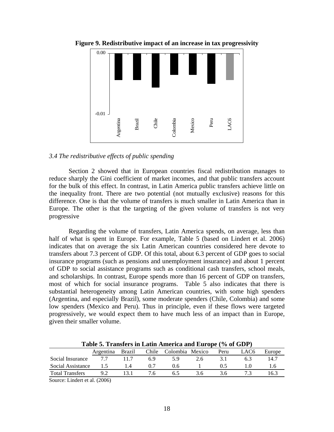

**Figure 9. Redistributive impact of an increase in tax progressivity** 

#### *3.4 The redistributive effects of public spending*

Section 2 showed that in European countries fiscal redistribution manages to reduce sharply the Gini coefficient of market incomes, and that public transfers account for the bulk of this effect. In contrast, in Latin America public transfers achieve little on the inequality front. There are two potential (not mutually exclusive) reasons for this difference. One is that the volume of transfers is much smaller in Latin America than in Europe. The other is that the targeting of the given volume of transfers is not very progressive

Regarding the volume of transfers, Latin America spends, on average, less than half of what is spent in Europe. For example, Table 5 (based on Lindert et al. 2006) indicates that on average the six Latin American countries considered here devote to transfers about 7.3 percent of GDP. Of this total, about 6.3 percent of GDP goes to social insurance programs (such as pensions and unemployment insurance) and about 1 percent of GDP to social assistance programs such as conditional cash transfers, school meals, and scholarships. In contrast, Europe spends more than 16 percent of GDP on transfers, most of which for social insurance programs. Table 5 also indicates that there is substantial heterogeneity among Latin American countries, with some high spenders (Argentina, and especially Brazil), some moderate spenders (Chile, Colombia) and some low spenders (Mexico and Peru). Thus in principle, even if these flows were targeted progressively, we would expect them to have much less of an impact than in Europe, given their smaller volume.

Argentina Brazil Chile Colombia Mexico Peru LAC6 Europe Social Insurance 7.7 11.7 6.9 5.9 2.6 3.1 6.3 14.7 Social Assistance 1.5 1.4 0.7 0.6 1 0.5 1.0 1.6 Total Transfers 9.2 13.1 7.6 6.5 3.6 3.6 7.3 16.3

**Table 5. Transfers in Latin America and Europe (% of GDP)** 

Source: Lindert et al. (2006)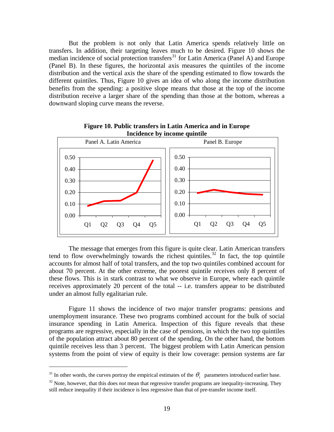<span id="page-21-0"></span>But the problem is not only that Latin America spends relatively little on transfers. In addition, their targeting leaves much to be desired. Figure 10 shows the median incidence of social protection transfers<sup>[31](#page-21-0)</sup> for Latin America (Panel A) and Europe (Panel B). In these figures, the horizontal axis measures the quintiles of the income distribution and the vertical axis the share of the spending estimated to flow towards the different quintiles. Thus, Figure 10 gives an idea of who along the income distribution benefits from the spending: a positive slope means that those at the top of the income distribution receive a larger share of the spending than those at the bottom, whereas a downward sloping curve means the reverse.



**Figure 10. Public transfers in Latin America and in Europe Incidence by income quintile** 

The message that emerges from this figure is quite clear. Latin American transfers tend to flow overwhelmingly towards the richest quintiles.<sup>[32](#page-21-0)</sup> In fact, the top quintile accounts for almost half of total transfers, and the top two quintiles combined account for about 70 percent. At the other extreme, the poorest quintile receives only 8 percent of these flows. This is in stark contrast to what we observe in Europe, where each quintile receives approximately 20 percent of the total -- i.e. transfers appear to be distributed under an almost fully egalitarian rule.

Figure 11 shows the incidence of two major transfer programs: pensions and unemployment insurance. These two programs combined account for the bulk of social insurance spending in Latin America. Inspection of this figure reveals that these programs are regressive, especially in the case of pensions, in which the two top quintiles of the population attract about 80 percent of the spending. On the other hand, the bottom quintile receives less than 3 percent. The biggest problem with Latin American pension systems from the point of view of equity is their low coverage: pension systems are far

1

<sup>&</sup>lt;sup>31</sup> In other words, the curves portray the empirical estimates of the  $\theta_i$  parameters introduced earlier base.

<sup>&</sup>lt;sup>32</sup> Note, however, that this does *not* mean that regressive transfer programs are inequality-increasing. They still reduce inequality if their incidence is less regressive than that of pre-transfer income itself.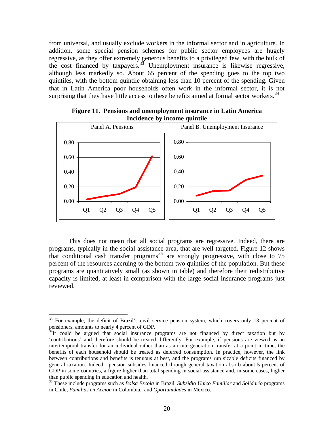<span id="page-22-0"></span>from universal, and usually exclude workers in the informal sector and in agriculture. In addition, some special pension schemes for public sector employees are hugely regressive, as they offer extremely generous benefits to a privileged few, with the bulk of the cost financed by taxpayers. $33$  Unemployment insurance is likewise regressive, although less markedly so. About 65 percent of the spending goes to the top two quintiles, with the bottom quintile obtaining less than 10 percent of the spending. Given that in Latin America poor households often work in the informal sector, it is not surprising that they have little access to these benefits aimed at formal sector workers.<sup>[34](#page-22-0)</sup>



**Figure 11. Pensions and unemployment insurance in Latin America Incidence by income quintile** 

This does not mean that all social programs are regressive. Indeed, there are programs, typically in the social assistance area, that are well targeted. Figure 12 shows that conditional cash transfer programs<sup>[35](#page-22-0)</sup> are strongly progressive, with close to 75 percent of the resources accruing to the bottom two quintiles of the population. But these programs are quantitatively small (as shown in table) and therefore their redistributive capacity is limited, at least in comparison with the large social insurance programs just reviewed.

 $\overline{a}$ 

<sup>&</sup>lt;sup>33</sup> For example, the deficit of Brazil's civil service pension system, which covers only 13 percent of pensioners, amounts to nearly 4 percent of GDP.

 $34$ It could be argued that social insurance programs are not financed by direct taxation but by 'contributions' and therefore should be treated differently. For example, if pensions are viewed as an intertemporal transfer for an individual rather than as an intergeneration transfer at a point in time, the benefits of each household should be treated as deferred consumption. In practice, however, the link between contributions and benefits is tenuous at best, and the programs run sizable deficits financed by general taxation. Indeed, pension subsides financed through general taxation absorb about 5 percent of GDP in some countries, a figure higher than total spending in social assistance and, in some cases, higher than public spending in education and health.

<sup>35</sup> These include programs such as *Bolsa Escola* in Brazil, *Subsidio Unico Familiar* and *Solidario* programs in Chile, *Familias en Accion* in Colombia, and *Oportunidades* in Mexico.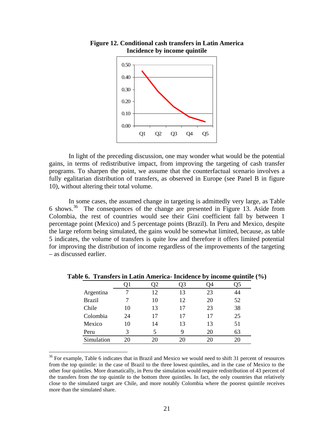

<span id="page-23-0"></span>

In light of the preceding discussion, one may wonder what would be the potential gains, in terms of redistributive impact, from improving the targeting of cash transfer programs. To sharpen the point, we assume that the counterfactual scenario involves a fully egalitarian distribution of transfers, as observed in Europe (see Panel B in figure 10), without altering their total volume.

 In some cases, the assumed change in targeting is admittedly very large, as Table 6 shows.[36](#page-23-0) The consequences of the change are presented in Figure 13. Aside from Colombia, the rest of countries would see their Gini coefficient fall by between 1 percentage point (Mexico) and 5 percentage points (Brazil). In Peru and Mexico, despite the large reform being simulated, the gains would be somewhat limited, because, as table 5 indicates, the volume of transfers is quite low and therefore it offers limited potential for improving the distribution of income regardless of the improvements of the targeting – as discussed earlier.

|               |    |    |    |    | 95 |
|---------------|----|----|----|----|----|
| Argentina     | 7  | 12 | 13 | 23 | 44 |
| <b>Brazil</b> |    | 10 | 12 | 20 | 52 |
| Chile         | 10 | 13 | 17 | 23 | 38 |
| Colombia      | 24 | 17 | 17 | 17 | 25 |
| Mexico        | 10 | 14 | 13 | 13 | 51 |
| Peru          | 3  |    | 9  | 20 | 63 |
| Simulation    | 20 | 20 |    | 20 | 20 |

**Table 6. Transfers in Latin America- Incidence by income quintile (%)** 

1

<sup>&</sup>lt;sup>36</sup> For example, Table 6 indicates that in Brazil and Mexico we would need to shift 31 percent of resources from the top quintile: in the case of Brazil to the three lowest quintiles, and in the case of Mexico to the other four quintiles. More dramatically, in Peru the simulation would require redistribution of 43 percent of the transfers from the top quintile to the bottom three quintiles. In fact, the only countries that relatively close to the simulated target are Chile, and more notably Colombia where the poorest quintile receives more than the simulated share.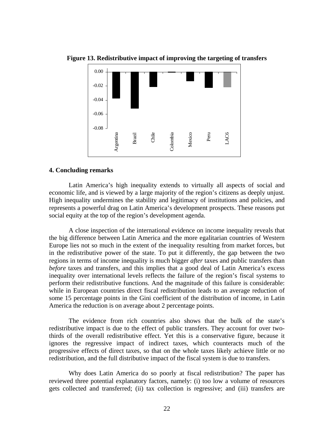

**Figure 13. Redistributive impact of improving the targeting of transfers** 

#### **4. Concluding remarks**

Latin America's high inequality extends to virtually all aspects of social and economic life, and is viewed by a large majority of the region's citizens as deeply unjust. High inequality undermines the stability and legitimacy of institutions and policies, and represents a powerful drag on Latin America's development prospects. These reasons put social equity at the top of the region's development agenda.

A close inspection of the international evidence on income inequality reveals that the big difference between Latin America and the more egalitarian countries of Western Europe lies not so much in the extent of the inequality resulting from market forces, but in the redistributive power of the state. To put it differently, the gap between the two regions in terms of income inequality is much bigger *after* taxes and public transfers than *before* taxes and transfers, and this implies that a good deal of Latin America's excess inequality over international levels reflects the failure of the region's fiscal systems to perform their redistributive functions. And the magnitude of this failure is considerable: while in European countries direct fiscal redistribution leads to an average reduction of some 15 percentage points in the Gini coefficient of the distribution of income, in Latin America the reduction is on average about 2 percentage points.

The evidence from rich countries also shows that the bulk of the state's redistributive impact is due to the effect of public transfers. They account for over twothirds of the overall redistributive effect. Yet this is a conservative figure, because it ignores the regressive impact of indirect taxes, which counteracts much of the progressive effects of direct taxes, so that on the whole taxes likely achieve little or no redistribution, and the full distributive impact of the fiscal system is due to transfers.

Why does Latin America do so poorly at fiscal redistribution? The paper has reviewed three potential explanatory factors, namely: (i) too low a volume of resources gets collected and transferred; (ii) tax collection is regressive; and (iii) transfers are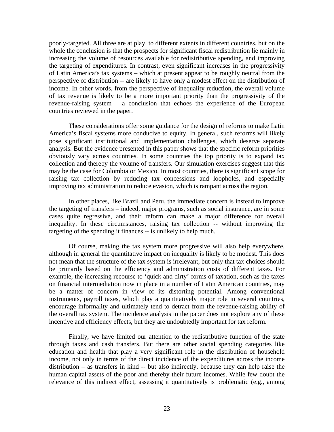poorly-targeted. All three are at play, to different extents in different countries, but on the whole the conclusion is that the prospects for significant fiscal redistribution lie mainly in increasing the volume of resources available for redistributive spending, and improving the targeting of expenditures. In contrast, even significant increases in the progressivity of Latin America's tax systems – which at present appear to be roughly neutral from the perspective of distribution -- are likely to have only a modest effect on the distribution of income. In other words, from the perspective of inequality reduction, the overall volume of tax revenue is likely to be a more important priority than the progressivity of the revenue-raising system – a conclusion that echoes the experience of the European countries reviewed in the paper.

These considerations offer some guidance for the design of reforms to make Latin America's fiscal systems more conducive to equity. In general, such reforms will likely pose significant institutional and implementation challenges, which deserve separate analysis. But the evidence presented in this paper shows that the specific reform priorities obviously vary across countries. In some countries the top priority is to expand tax collection and thereby the volume of transfers. Our simulation exercises suggest that this may be the case for Colombia or Mexico. In most countries, there is significant scope for raising tax collection by reducing tax concessions and loopholes, and especially improving tax administration to reduce evasion, which is rampant across the region.

In other places, like Brazil and Peru, the immediate concern is instead to improve the targeting of transfers – indeed, major programs, such as social insurance, are in some cases quite regressive, and their reform can make a major difference for overall inequality. In these circumstances, raising tax collection -- without improving the targeting of the spending it finances -- is unlikely to help much.

Of course, making the tax system more progressive will also help everywhere, although in general the quantitative impact on inequality is likely to be modest. This does not mean that the structure of the tax system is irrelevant, but only that tax choices should be primarily based on the efficiency and administration costs of different taxes. For example, the increasing recourse to 'quick and dirty' forms of taxation, such as the taxes on financial intermediation now in place in a number of Latin American countries, may be a matter of concern in view of its distorting potential. Among conventional instruments, payroll taxes, which play a quantitatively major role in several countries, encourage informality and ultimately tend to detract from the revenue-raising ability of the overall tax system. The incidence analysis in the paper does not explore any of these incentive and efficiency effects, but they are undoubtedly important for tax reform.

Finally, we have limited our attention to the redistributive function of the state through taxes and cash transfers. But there are other social spending categories like education and health that play a very significant role in the distribution of household income, not only in terms of the direct incidence of the expenditures across the income distribution – as transfers in kind -- but also indirectly, because they can help raise the human capital assets of the poor and thereby their future incomes. While few doubt the relevance of this indirect effect, assessing it quantitatively is problematic (e.g., among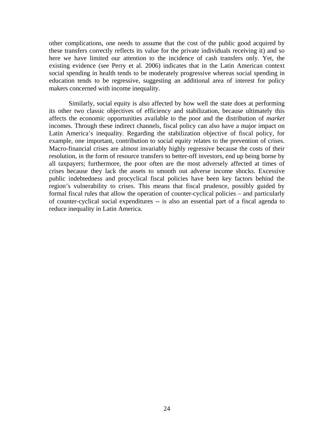other complications, one needs to assume that the cost of the public good acquired by these transfers correctly reflects its value for the private individuals receiving it) and so here we have limited our attention to the incidence of cash transfers only. Yet, the existing evidence (see Perry et al. 2006) indicates that in the Latin American context social spending in health tends to be moderately progressive whereas social spending in education tends to be regressive, suggesting an additional area of interest for policy makers concerned with income inequality.

Similarly, social equity is also affected by how well the state does at performing its other two classic objectives of efficiency and stabilization, because ultimately this affects the economic opportunities available to the poor and the distribution of *market* incomes. Through these indirect channels, fiscal policy can also have a major impact on Latin America's inequality. Regarding the stabilization objective of fiscal policy, for example, one important, contribution to social equity relates to the prevention of crises. Macro-financial crises are almost invariably highly regressive because the costs of their resolution, in the form of resource transfers to better-off investors, end up being borne by all taxpayers; furthermore, the poor often are the most adversely affected at times of crises because they lack the assets to smooth out adverse income shocks. Excessive public indebtedness and procyclical fiscal policies have been key factors behind the region's vulnerability to crises. This means that fiscal prudence, possibly guided by formal fiscal rules that allow the operation of counter-cyclical policies – and particularly of counter-cyclical social expenditures -- is also an essential part of a fiscal agenda to reduce inequality in Latin America.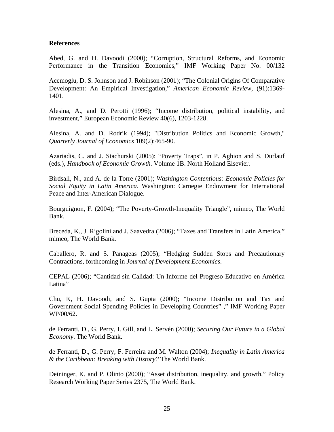#### **References**

Abed, G. and H. Davoodi (2000); "Corruption, Structural Reforms, and Economic Performance in the Transition Economies," IMF Working Paper No. 00/132

Acemoglu, D. S. Johnson and J. Robinson (2001); "The Colonial Origins Of Comparative Development: An Empirical Investigation," *American Economic Review*, (91):1369- 1401.

Alesina, A., and D. Perotti (1996); "Income distribution, political instability, and investment," European Economic Review 40(6), 1203-1228.

Alesina, A. and D. Rodrik (1994); "Distribution Politics and Economic Growth," *Quarterly Journal of Economics* 109(2):465-90.

Azariadis, C. and J. Stachurski (2005): "Poverty Traps", in P. Aghion and S. Durlauf (eds.), *Handbook of Economic Growth*. Volume 1B. North Holland Elsevier.

Birdsall, N., and A. de la Torre (2001); *Washington Contentious: Economic Policies for Social Equity in Latin America*. Washington: Carnegie Endowment for International Peace and Inter-American Dialogue.

Bourguignon, F. (2004); "The Poverty-Growth-Inequality Triangle", mimeo, The World Bank.

Breceda, K., J. Rigolini and J. Saavedra (2006); "Taxes and Transfers in Latin America," mimeo, The World Bank.

Caballero, R. and S. Panageas (2005); "Hedging Sudden Stops and Precautionary Contractions, forthcoming in *Journal of Development Economics*.

CEPAL (2006); "Cantidad sin Calidad: Un Informe del Progreso Educativo en América Latina"

Chu, K, H. Davoodi, and S. Gupta (2000); "Income Distribution and Tax and Government Social Spending Policies in Developing Countries" ," IMF Working Paper WP/00/62.

de Ferranti, D., G. Perry, I. Gill, and L. Servén (2000); *Securing Our Future in a Global Economy*. The World Bank.

de Ferranti, D., G. Perry, F. Ferreira and M. Walton (2004); *Inequality in Latin America & the Caribbean: Breaking with History?* The World Bank.

Deininger, K. and P. Olinto (2000); "Asset distribution, inequality, and growth," Policy Research Working Paper Series 2375, The World Bank.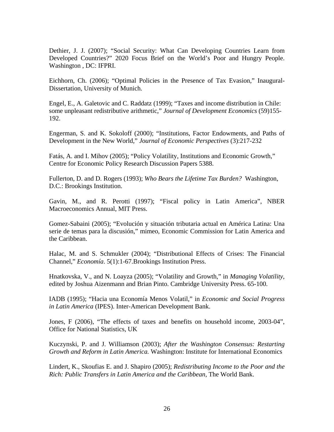Dethier, J. J. (2007); "Social Security: What Can Developing Countries Learn from Developed Countries?" 2020 Focus Brief on the World's Poor and Hungry People. Washington , DC: IFPRI.

Eichhorn, Ch. (2006); "Optimal Policies in the Presence of Tax Evasion," Inaugural-Dissertation, University of Munich.

Engel, E., A. Galetovic and C. Raddatz (1999); "Taxes and income distribution in Chile: some unpleasant redistributive arithmetic," *Journal of Development Economics* (59)155- 192.

Engerman, S. and K. Sokoloff (2000); "Institutions, Factor Endowments, and Paths of Development in the New World," *Journal of Economic Perspectives* (3):217-232

Fatás, A. and I. Mihov (2005); "Policy Volatility, Institutions and Economic Growth," Centre for Economic Policy Research Discussion Papers 5388.

Fullerton, D. and D. Rogers (1993); *Who Bears the Lifetime Tax Burden?* Washington, D.C.: Brookings Institution.

Gavin, M., and R. Perotti (1997); "Fiscal policy in Latin America", NBER Macroeconomics Annual, MIT Press.

Gomez-Sabaini (2005); "Evolución y situación tributaria actual en América Latina: Una serie de temas para la discusión," mimeo, Economic Commission for Latin America and the Caribbean.

Halac, M. and S. Schmukler (2004); "Distributional Effects of Crises: The Financial Channel," *Economía*. 5(1):1-67.Brookings Institution Press.

Hnatkovska, V., and N. Loayza (2005); "Volatility and Growth," in *Managing Volatility*, edited by Joshua Aizenmann and Brian Pinto. Cambridge University Press. 65-100.

IADB (1995); "Hacia una Economía Menos Volatil," in *Economic and Social Progress in Latin America* (IPES). Inter-American Development Bank.

Jones, F (2006), "The effects of taxes and benefits on household income, 2003-04", Office for National Statistics, UK

Kuczynski, P. and J. Williamson (2003); *After the Washington Consensus: Restarting Growth and Reform in Latin America.* Washington: Institute for International Economics

Lindert, K., Skoufias E. and J. Shapiro (2005); *Redistributing Income to the Poor and the Rich: Public Transfers in Latin America and the Caribbean*, The World Bank.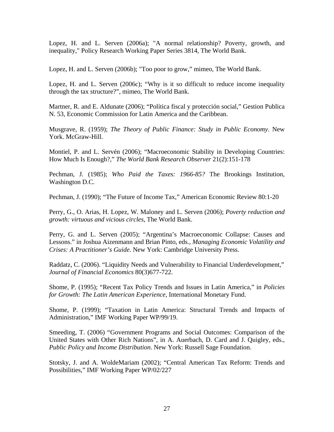Lopez, H. and L. Serven (2006a); "A normal relationship? Poverty, growth, and inequality," Policy Research Working Paper Series 3814, The World Bank.

Lopez, H. and L. Serven (2006b); "Too poor to grow," mimeo, The World Bank.

Lopez, H. and L. Serven (2006c); "Why is it so difficult to reduce income inequality through the tax structure?", mimeo, The World Bank.

Martner, R. and E. Aldunate (2006); "Política fiscal y protección social," Gestion Publica N. 53, Economic Commission for Latin America and the Caribbean.

Musgrave, R. (1959); *The Theory of Public Finance: Study in Public Economy*. New York. McGraw-Hill.

Montiel, P. and L. Servén (2006); "Macroeconomic Stability in Developing Countries: How Much Is Enough?," *The World Bank Research Observer* 21(2):151-178

Pechman, J. (1985); *Who Paid the Taxes: 1966-85?* The Brookings Institution, Washington D.C.

Pechman, J. (1990); "The Future of Income Tax," American Economic Review 80:1-20

Perry, G., O. Arias, H. Lopez, W. Maloney and L. Serven (2006); *Poverty reduction and growth: virtuous and vicious circles*, The World Bank.

Perry, G. and L. Serven (2005); "Argentina's Macroeconomic Collapse: Causes and Lessons." in Joshua Aizenmann and Brian Pinto, eds., *Managing Economic Volatility and Crises: A Practitioner's Guide*. New York: Cambridge University Press.

Raddatz, C. (2006). "Liquidity Needs and Vulnerability to Financial Underdevelopment," *Journal of Financial Economics* 80(3)677-722.

Shome, P. (1995); "Recent Tax Policy Trends and Issues in Latin America," in *Policies for Growth: The Latin American Experience*, International Monetary Fund.

Shome, P. (1999); "Taxation in Latin America: Structural Trends and Impacts of Administration," IMF Working Paper WP/99/19.

Smeeding, T. (2006) "Government Programs and Social Outcomes: Comparison of the United States with Other Rich Nations", in A. Auerbach, D. Card and J. Quigley, eds., *Public Policy and Income Distribution*. New York: Russell Sage Foundation.

Stotsky, J. and A. WoldeMariam (2002); "Central American Tax Reform: Trends and Possibilities," IMF Working Paper WP/02/227